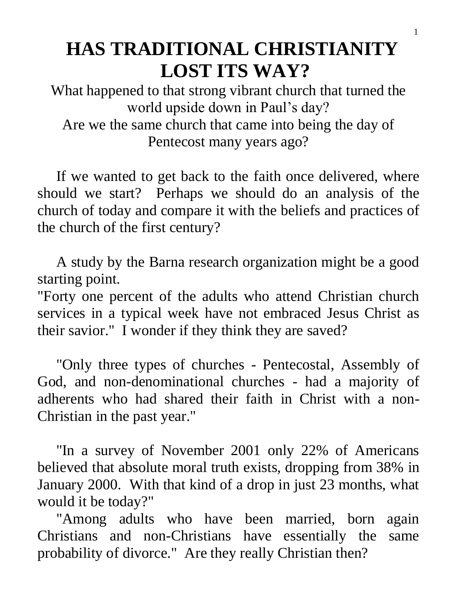# **HAS TRADITIONAL CHRISTIANITY LOST ITS WAY?**

What happened to that strong vibrant church that turned the world upside down in Paul's day? Are we the same church that came into being the day of Pentecost many years ago?

 If we wanted to get back to the faith once delivered, where should we start? Perhaps we should do an analysis of the church of today and compare it with the beliefs and practices of the church of the first century?

 A study by the Barna research organization might be a good starting point.

"Forty one percent of the adults who attend Christian church services in a typical week have not embraced Jesus Christ as their savior." I wonder if they think they are saved?

 "Only three types of churches - Pentecostal, Assembly of God, and non-denominational churches - had a majority of adherents who had shared their faith in Christ with a non-Christian in the past year."

 "In a survey of November 2001 only 22% of Americans believed that absolute moral truth exists, dropping from 38% in January 2000. With that kind of a drop in just 23 months, what would it be today?"

 "Among adults who have been married, born again Christians and non-Christians have essentially the same probability of divorce." Are they really Christian then?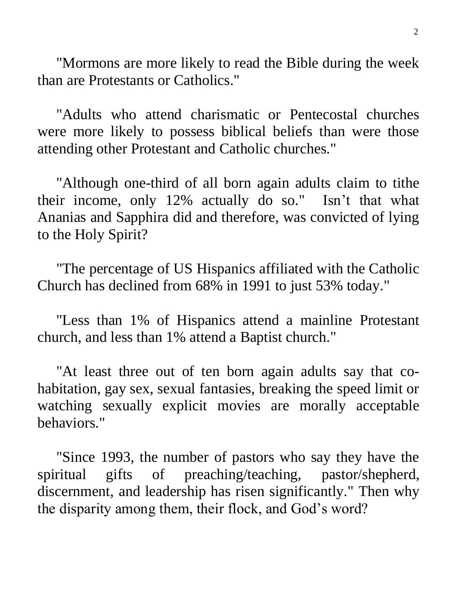"Mormons are more likely to read the Bible during the week than are Protestants or Catholics."

 "Adults who attend charismatic or Pentecostal churches were more likely to possess biblical beliefs than were those attending other Protestant and Catholic churches."

 "Although one-third of all born again adults claim to tithe their income, only 12% actually do so." Isn't that what Ananias and Sapphira did and therefore, was convicted of lying to the Holy Spirit?

 "The percentage of US Hispanics affiliated with the Catholic Church has declined from 68% in 1991 to just 53% today."

 "Less than 1% of Hispanics attend a mainline Protestant church, and less than 1% attend a Baptist church."

 "At least three out of ten born again adults say that cohabitation, gay sex, sexual fantasies, breaking the speed limit or watching sexually explicit movies are morally acceptable behaviors."

 "Since 1993, the number of pastors who say they have the spiritual gifts of preaching/teaching, pastor/shepherd, discernment, and leadership has risen significantly." Then why the disparity among them, their flock, and God's word?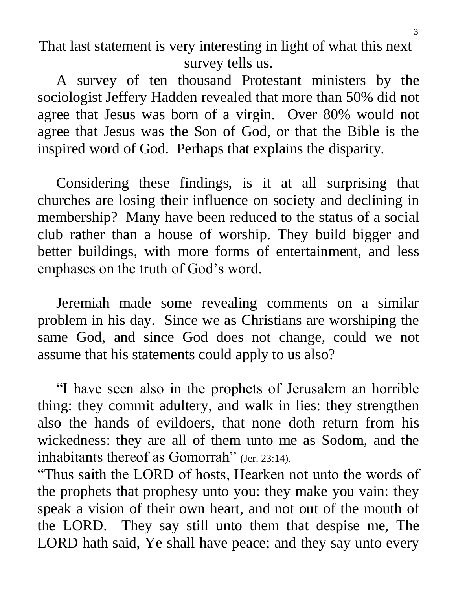That last statement is very interesting in light of what this next survey tells us.

 A survey of ten thousand Protestant ministers by the sociologist Jeffery Hadden revealed that more than 50% did not agree that Jesus was born of a virgin. Over 80% would not agree that Jesus was the Son of God, or that the Bible is the inspired word of God. Perhaps that explains the disparity.

 Considering these findings, is it at all surprising that churches are losing their influence on society and declining in membership? Many have been reduced to the status of a social club rather than a house of worship. They build bigger and better buildings, with more forms of entertainment, and less emphases on the truth of God's word.

 Jeremiah made some revealing comments on a similar problem in his day. Since we as Christians are worshiping the same God, and since God does not change, could we not assume that his statements could apply to us also?

 "I have seen also in the prophets of Jerusalem an horrible thing: they commit adultery, and walk in lies: they strengthen also the hands of evildoers, that none doth return from his wickedness: they are all of them unto me as Sodom, and the inhabitants thereof as Gomorrah" (Jer. 23:14).

"Thus saith the LORD of hosts, Hearken not unto the words of the prophets that prophesy unto you: they make you vain: they speak a vision of their own heart, and not out of the mouth of the LORD. They say still unto them that despise me, The LORD hath said, Ye shall have peace; and they say unto every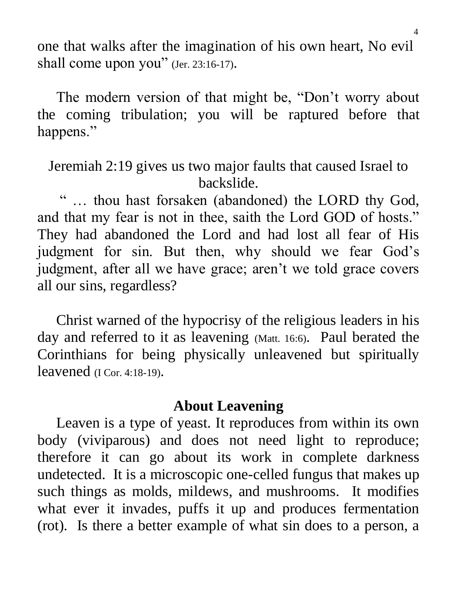one that walks after the imagination of his own heart, No evil shall come upon you" (Jer. 23:16-17).

 The modern version of that might be, "Don't worry about the coming tribulation; you will be raptured before that happens."

Jeremiah 2:19 gives us two major faults that caused Israel to backslide.

 " … thou hast forsaken (abandoned) the LORD thy God, and that my fear is not in thee, saith the Lord GOD of hosts." They had abandoned the Lord and had lost all fear of His judgment for sin. But then, why should we fear God's judgment, after all we have grace; aren't we told grace covers all our sins, regardless?

 Christ warned of the hypocrisy of the religious leaders in his day and referred to it as leavening (Matt. 16:6). Paul berated the Corinthians for being physically unleavened but spiritually leavened (I Cor. 4:18-19).

### **About Leavening**

 Leaven is a type of yeast. It reproduces from within its own body (viviparous) and does not need light to reproduce; therefore it can go about its work in complete darkness undetected. It is a microscopic one-celled fungus that makes up such things as molds, mildews, and mushrooms. It modifies what ever it invades, puffs it up and produces fermentation (rot). Is there a better example of what sin does to a person, a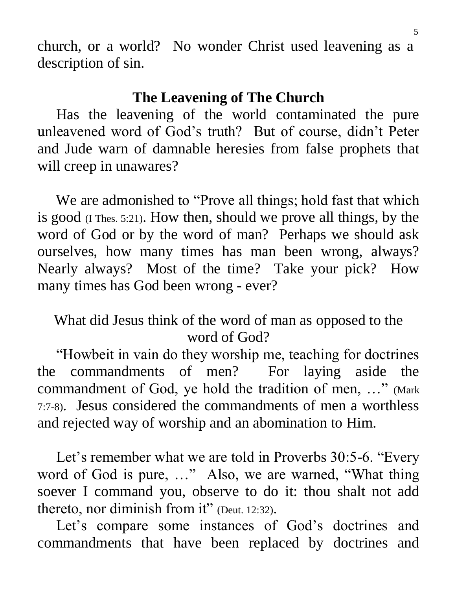church, or a world? No wonder Christ used leavening as a description of sin.

### **The Leavening of The Church**

 Has the leavening of the world contaminated the pure unleavened word of God's truth? But of course, didn't Peter and Jude warn of damnable heresies from false prophets that will creep in unawares?

 We are admonished to "Prove all things; hold fast that which is good (I Thes. 5:21). How then, should we prove all things, by the word of God or by the word of man? Perhaps we should ask ourselves, how many times has man been wrong, always? Nearly always? Most of the time? Take your pick? How many times has God been wrong - ever?

## What did Jesus think of the word of man as opposed to the word of God?

 "Howbeit in vain do they worship me, teaching for doctrines the commandments of men? For laying aside the commandment of God, ye hold the tradition of men, …" (Mark 7:7-8). Jesus considered the commandments of men a worthless and rejected way of worship and an abomination to Him.

 Let's remember what we are told in Proverbs 30:5-6. "Every word of God is pure, …" Also, we are warned, "What thing soever I command you, observe to do it: thou shalt not add thereto, nor diminish from it" (Deut. 12:32).

 Let's compare some instances of God's doctrines and commandments that have been replaced by doctrines and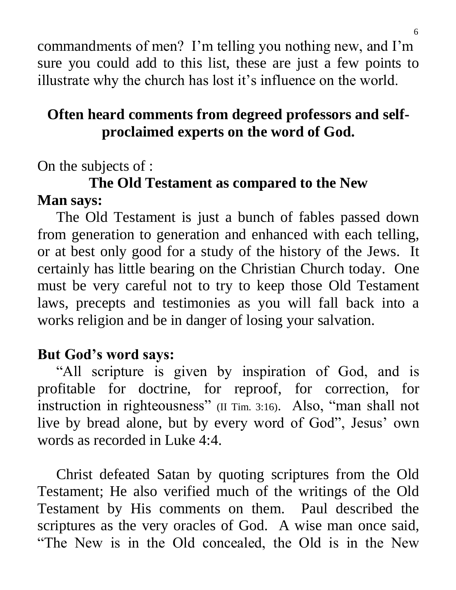commandments of men? I'm telling you nothing new, and I'm sure you could add to this list, these are just a few points to illustrate why the church has lost it's influence on the world.

## **Often heard comments from degreed professors and selfproclaimed experts on the word of God.**

On the subjects of :

## **The Old Testament as compared to the New Man says:**

 The Old Testament is just a bunch of fables passed down from generation to generation and enhanced with each telling, or at best only good for a study of the history of the Jews. It certainly has little bearing on the Christian Church today. One must be very careful not to try to keep those Old Testament laws, precepts and testimonies as you will fall back into a works religion and be in danger of losing your salvation.

## **But God's word says:**

 "All scripture is given by inspiration of God, and is profitable for doctrine, for reproof, for correction, for instruction in righteousness" (II Tim. 3:16). Also, "man shall not live by bread alone, but by every word of God", Jesus' own words as recorded in Luke 4:4.

 Christ defeated Satan by quoting scriptures from the Old Testament; He also verified much of the writings of the Old Testament by His comments on them. Paul described the scriptures as the very oracles of God. A wise man once said, "The New is in the Old concealed, the Old is in the New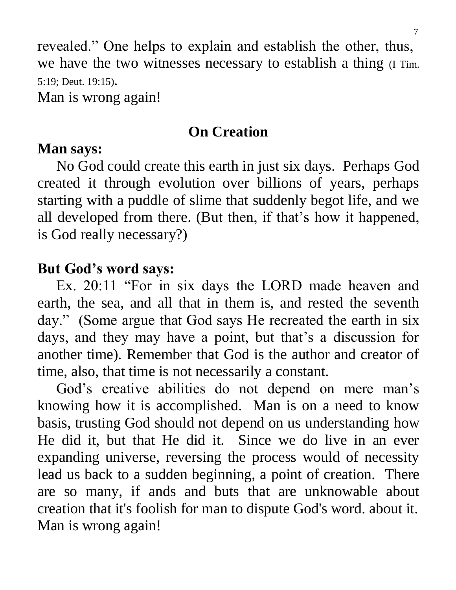revealed." One helps to explain and establish the other, thus, we have the two witnesses necessary to establish a thing (I Tim. 5:19; Deut. 19:15).

Man is wrong again!

## **On Creation**

### **Man says:**

 No God could create this earth in just six days. Perhaps God created it through evolution over billions of years, perhaps starting with a puddle of slime that suddenly begot life, and we all developed from there. (But then, if that's how it happened, is God really necessary?)

## **But God's word says:**

 Ex. 20:11 "For in six days the LORD made heaven and earth, the sea, and all that in them is, and rested the seventh day." (Some argue that God says He recreated the earth in six days, and they may have a point, but that's a discussion for another time). Remember that God is the author and creator of time, also, that time is not necessarily a constant.

 God's creative abilities do not depend on mere man's knowing how it is accomplished. Man is on a need to know basis, trusting God should not depend on us understanding how He did it, but that He did it. Since we do live in an ever expanding universe, reversing the process would of necessity lead us back to a sudden beginning, a point of creation. There are so many, if ands and buts that are unknowable about creation that it's foolish for man to dispute God's word. about it. Man is wrong again!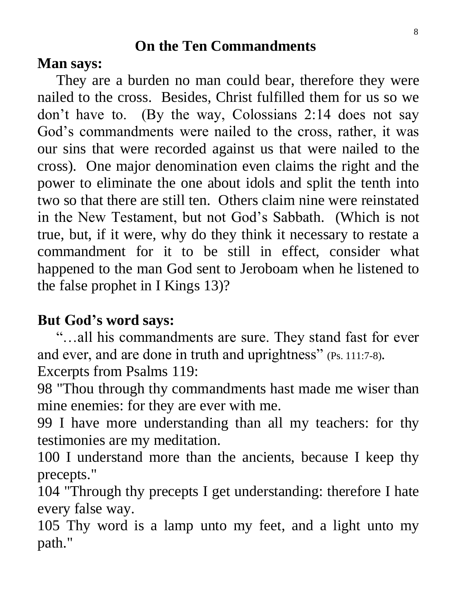## **On the Ten Commandments**

### **Man says:**

 They are a burden no man could bear, therefore they were nailed to the cross. Besides, Christ fulfilled them for us so we don't have to. (By the way, Colossians 2:14 does not say God's commandments were nailed to the cross, rather, it was our sins that were recorded against us that were nailed to the cross). One major denomination even claims the right and the power to eliminate the one about idols and split the tenth into two so that there are still ten. Others claim nine were reinstated in the New Testament, but not God's Sabbath. (Which is not true, but, if it were, why do they think it necessary to restate a commandment for it to be still in effect, consider what happened to the man God sent to Jeroboam when he listened to the false prophet in I Kings 13)?

## **But God's word says:**

 "…all his commandments are sure. They stand fast for ever and ever, and are done in truth and uprightness" (Ps. 111:7-8).

Excerpts from Psalms 119:

98 "Thou through thy commandments hast made me wiser than mine enemies: for they are ever with me.

99 I have more understanding than all my teachers: for thy testimonies are my meditation.

100 I understand more than the ancients, because I keep thy precepts."

104 "Through thy precepts I get understanding: therefore I hate every false way.

105 Thy word is a lamp unto my feet, and a light unto my path."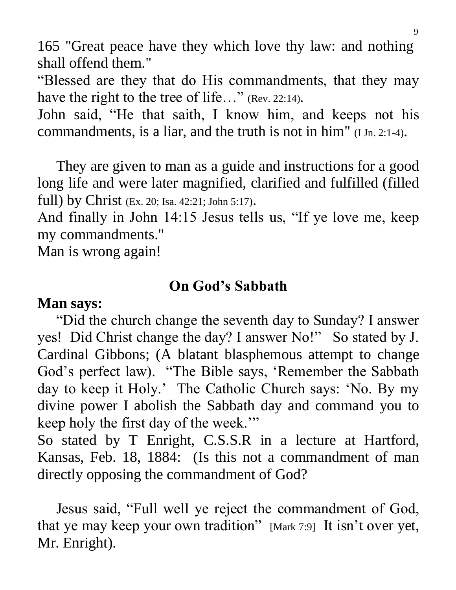165 "Great peace have they which love thy law: and nothing shall offend them."

"Blessed are they that do His commandments, that they may have the right to the tree of life..." (Rev. 22:14).

John said, "He that saith, I know him, and keeps not his commandments, is a liar, and the truth is not in him" (I Jn. 2:1-4).

They are given to man as a guide and instructions for a good long life and were later magnified, clarified and fulfilled (filled full) by Christ (Ex. 20; Isa. 42:21; John 5:17).

And finally in John 14:15 Jesus tells us, "If ye love me, keep my commandments."

Man is wrong again!

### **On God's Sabbath**

### **Man says:**

 "Did the church change the seventh day to Sunday? I answer yes! Did Christ change the day? I answer No!" So stated by J. Cardinal Gibbons; (A blatant blasphemous attempt to change God's perfect law). "The Bible says, 'Remember the Sabbath day to keep it Holy.' The Catholic Church says: 'No. By my divine power I abolish the Sabbath day and command you to keep holy the first day of the week.'"

So stated by T Enright, C.S.S.R in a lecture at Hartford, Kansas, Feb. 18, 1884: (Is this not a commandment of man directly opposing the commandment of God?

 Jesus said, "Full well ye reject the commandment of God, that ye may keep your own tradition" [Mark 7:9] It isn't over yet, Mr. Enright).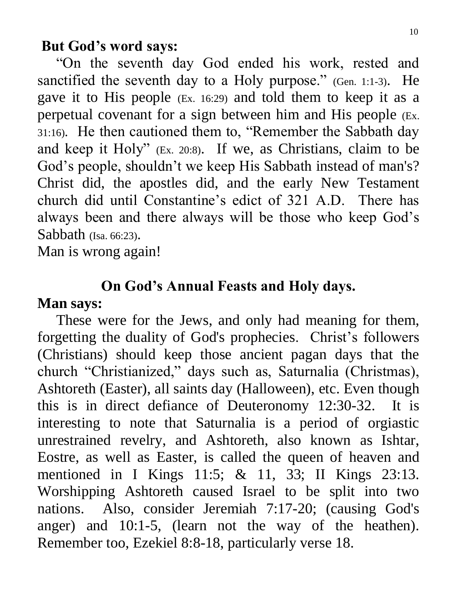#### **But God's word says:**

 "On the seventh day God ended his work, rested and sanctified the seventh day to a Holy purpose." (Gen. 1:1-3). He gave it to His people (Ex. 16:29) and told them to keep it as a perpetual covenant for a sign between him and His people (Ex. 31:16). He then cautioned them to, "Remember the Sabbath day and keep it Holy" (Ex. 20:8). If we, as Christians, claim to be God's people, shouldn't we keep His Sabbath instead of man's? Christ did, the apostles did, and the early New Testament church did until Constantine's edict of 321 A.D. There has always been and there always will be those who keep God's Sabbath (Isa. 66:23).

Man is wrong again!

#### **On God's Annual Feasts and Holy days.**

#### **Man says:**

 These were for the Jews, and only had meaning for them, forgetting the duality of God's prophecies. Christ's followers (Christians) should keep those ancient pagan days that the church "Christianized," days such as, Saturnalia (Christmas), Ashtoreth (Easter), all saints day (Halloween), etc. Even though this is in direct defiance of Deuteronomy 12:30-32. It is interesting to note that Saturnalia is a period of orgiastic unrestrained revelry, and Ashtoreth, also known as Ishtar, Eostre, as well as Easter, is called the queen of heaven and mentioned in I Kings 11:5; & 11, 33; II Kings 23:13. Worshipping Ashtoreth caused Israel to be split into two nations. Also, consider Jeremiah 7:17-20; (causing God's anger) and 10:1-5, (learn not the way of the heathen). Remember too, Ezekiel 8:8-18, particularly verse 18.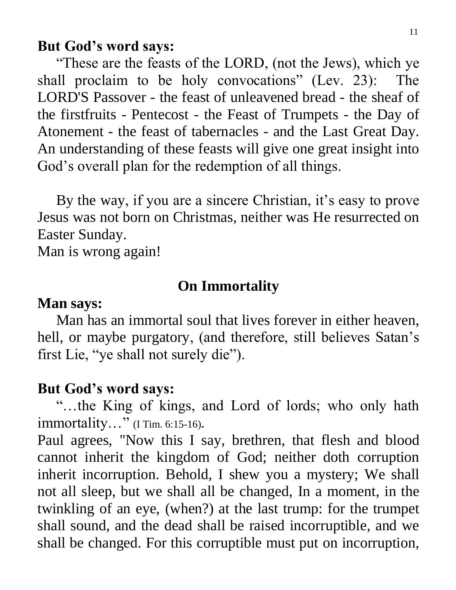#### **But God's word says:**

 "These are the feasts of the LORD, (not the Jews), which ye shall proclaim to be holy convocations" (Lev. 23): The LORD'S Passover - the feast of unleavened bread - the sheaf of the firstfruits - Pentecost - the Feast of Trumpets - the Day of Atonement - the feast of tabernacles - and the Last Great Day. An understanding of these feasts will give one great insight into God's overall plan for the redemption of all things.

 By the way, if you are a sincere Christian, it's easy to prove Jesus was not born on Christmas, neither was He resurrected on Easter Sunday.

Man is wrong again!

#### **On Immortality**

#### **Man says:**

 Man has an immortal soul that lives forever in either heaven, hell, or maybe purgatory, (and therefore, still believes Satan's first Lie, "ye shall not surely die").

#### **But God's word says:**

 "…the King of kings, and Lord of lords; who only hath immortality…" (I Tim. 6:15-16).

Paul agrees, "Now this I say, brethren, that flesh and blood cannot inherit the kingdom of God; neither doth corruption inherit incorruption. Behold, I shew you a mystery; We shall not all sleep, but we shall all be changed, In a moment, in the twinkling of an eye, (when?) at the last trump: for the trumpet shall sound, and the dead shall be raised incorruptible, and we shall be changed. For this corruptible must put on incorruption,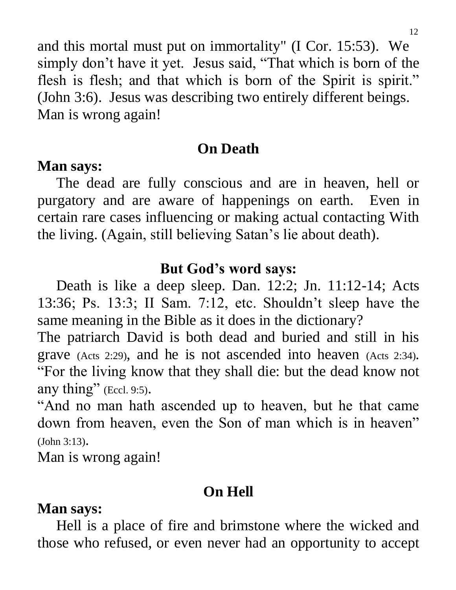and this mortal must put on immortality" (I Cor. 15:53). We simply don't have it yet. Jesus said, "That which is born of the flesh is flesh; and that which is born of the Spirit is spirit." (John 3:6). Jesus was describing two entirely different beings. Man is wrong again!

## **On Death**

### **Man says:**

 The dead are fully conscious and are in heaven, hell or purgatory and are aware of happenings on earth. Even in certain rare cases influencing or making actual contacting With the living. (Again, still believing Satan's lie about death).

### **But God's word says:**

 Death is like a deep sleep. Dan. 12:2; Jn. 11:12-14; Acts 13:36; Ps. 13:3; II Sam. 7:12, etc. Shouldn't sleep have the same meaning in the Bible as it does in the dictionary?

The patriarch David is both dead and buried and still in his grave (Acts 2:29), and he is not ascended into heaven (Acts 2:34). "For the living know that they shall die: but the dead know not any thing" (Eccl. 9:5).

"And no man hath ascended up to heaven, but he that came down from heaven, even the Son of man which is in heaven" (John 3:13).

Man is wrong again!

## **On Hell**

### **Man says:**

 Hell is a place of fire and brimstone where the wicked and those who refused, or even never had an opportunity to accept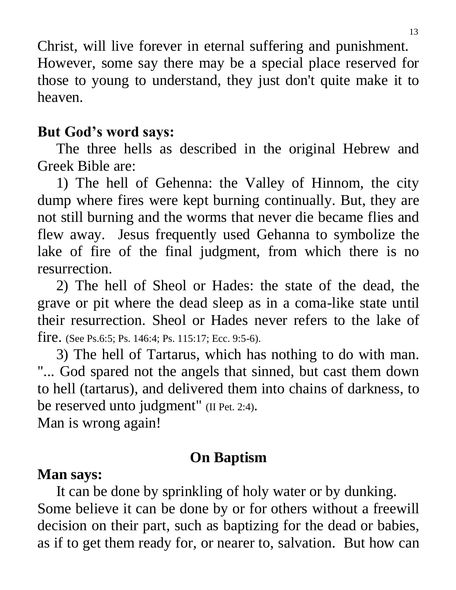Christ, will live forever in eternal suffering and punishment. However, some say there may be a special place reserved for those to young to understand, they just don't quite make it to heaven.

### **But God's word says:**

 The three hells as described in the original Hebrew and Greek Bible are:

 1) The hell of Gehenna: the Valley of Hinnom, the city dump where fires were kept burning continually. But, they are not still burning and the worms that never die became flies and flew away. Jesus frequently used Gehanna to symbolize the lake of fire of the final judgment, from which there is no resurrection.

 2) The hell of Sheol or Hades: the state of the dead, the grave or pit where the dead sleep as in a coma-like state until their resurrection. Sheol or Hades never refers to the lake of fire. (See Ps.6:5; Ps. 146:4; Ps. 115:17; Ecc. 9:5-6).

 3) The hell of Tartarus, which has nothing to do with man. "... God spared not the angels that sinned, but cast them down to hell (tartarus), and delivered them into chains of darkness, to be reserved unto judgment" (II Pet. 2:4).

Man is wrong again!

## **On Baptism**

## **Man says:**

 It can be done by sprinkling of holy water or by dunking. Some believe it can be done by or for others without a freewill decision on their part, such as baptizing for the dead or babies, as if to get them ready for, or nearer to, salvation. But how can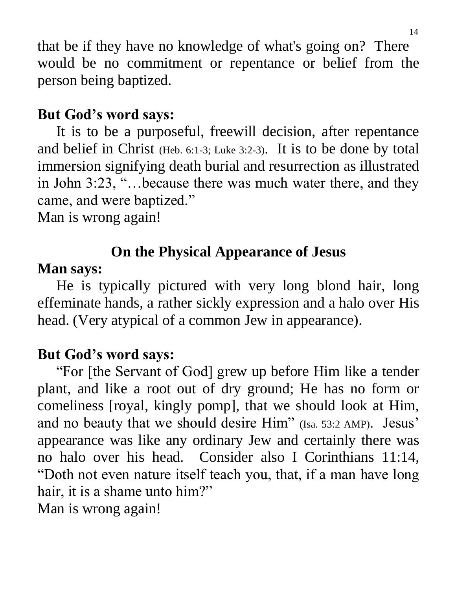that be if they have no knowledge of what's going on? There would be no commitment or repentance or belief from the person being baptized.

## **But God's word says:**

 It is to be a purposeful, freewill decision, after repentance and belief in Christ (Heb. 6:1-3; Luke 3:2-3). It is to be done by total immersion signifying death burial and resurrection as illustrated in John 3:23, "…because there was much water there, and they came, and were baptized."

Man is wrong again!

## **On the Physical Appearance of Jesus**

## **Man says:**

 He is typically pictured with very long blond hair, long effeminate hands, a rather sickly expression and a halo over His head. (Very atypical of a common Jew in appearance).

## **But God's word says:**

 "For [the Servant of God] grew up before Him like a tender plant, and like a root out of dry ground; He has no form or comeliness [royal, kingly pomp], that we should look at Him, and no beauty that we should desire Him" (Isa. 53:2 AMP). Jesus' appearance was like any ordinary Jew and certainly there was no halo over his head. Consider also I Corinthians 11:14, "Doth not even nature itself teach you, that, if a man have long hair, it is a shame unto him?"

Man is wrong again!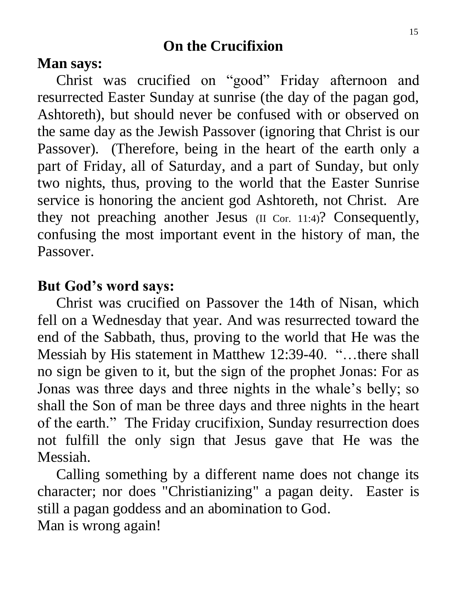## **On the Crucifixion**

#### **Man says:**

 Christ was crucified on "good" Friday afternoon and resurrected Easter Sunday at sunrise (the day of the pagan god, Ashtoreth), but should never be confused with or observed on the same day as the Jewish Passover (ignoring that Christ is our Passover). (Therefore, being in the heart of the earth only a part of Friday, all of Saturday, and a part of Sunday, but only two nights, thus, proving to the world that the Easter Sunrise service is honoring the ancient god Ashtoreth, not Christ. Are they not preaching another Jesus (II Cor. 11:4)? Consequently, confusing the most important event in the history of man, the Passover.

### **But God's word says:**

 Christ was crucified on Passover the 14th of Nisan, which fell on a Wednesday that year. And was resurrected toward the end of the Sabbath, thus, proving to the world that He was the Messiah by His statement in Matthew 12:39-40. "…there shall no sign be given to it, but the sign of the prophet Jonas: For as Jonas was three days and three nights in the whale's belly; so shall the Son of man be three days and three nights in the heart of the earth." The Friday crucifixion, Sunday resurrection does not fulfill the only sign that Jesus gave that He was the Messiah.

 Calling something by a different name does not change its character; nor does "Christianizing" a pagan deity. Easter is still a pagan goddess and an abomination to God. Man is wrong again!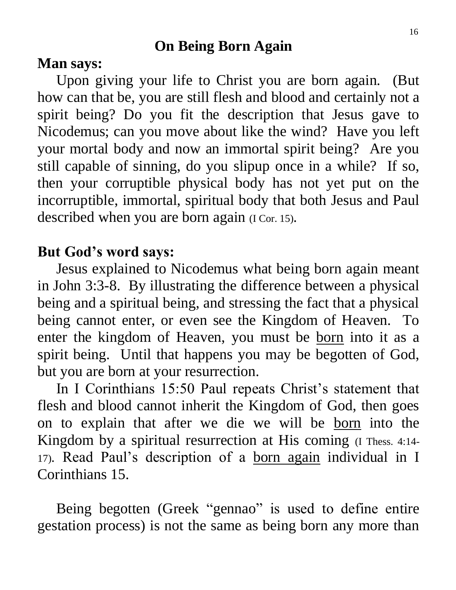### **On Being Born Again**

#### **Man says:**

 Upon giving your life to Christ you are born again. (But how can that be, you are still flesh and blood and certainly not a spirit being? Do you fit the description that Jesus gave to Nicodemus; can you move about like the wind? Have you left your mortal body and now an immortal spirit being? Are you still capable of sinning, do you slipup once in a while? If so, then your corruptible physical body has not yet put on the incorruptible, immortal, spiritual body that both Jesus and Paul described when you are born again (I Cor. 15).

### **But God's word says:**

 Jesus explained to Nicodemus what being born again meant in John 3:3-8. By illustrating the difference between a physical being and a spiritual being, and stressing the fact that a physical being cannot enter, or even see the Kingdom of Heaven. To enter the kingdom of Heaven, you must be born into it as a spirit being. Until that happens you may be begotten of God, but you are born at your resurrection.

 In I Corinthians 15:50 Paul repeats Christ's statement that flesh and blood cannot inherit the Kingdom of God, then goes on to explain that after we die we will be born into the Kingdom by a spiritual resurrection at His coming (I Thess. 4:14- 17). Read Paul's description of a born again individual in I Corinthians 15.

 Being begotten (Greek "gennao" is used to define entire gestation process) is not the same as being born any more than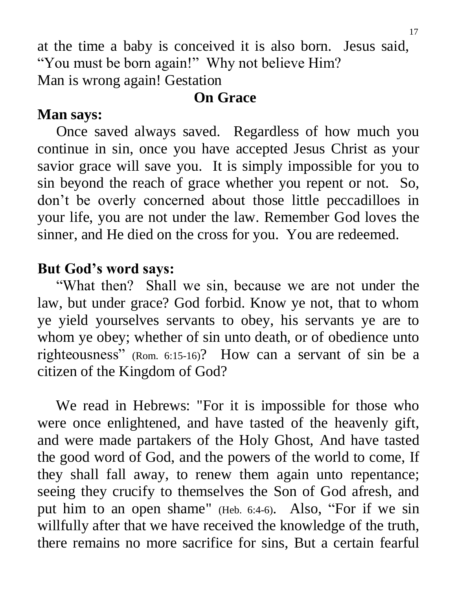at the time a baby is conceived it is also born. Jesus said, "You must be born again!" Why not believe Him? Man is wrong again! Gestation

### **On Grace**

## **Man says:**

 Once saved always saved. Regardless of how much you continue in sin, once you have accepted Jesus Christ as your savior grace will save you. It is simply impossible for you to sin beyond the reach of grace whether you repent or not. So, don't be overly concerned about those little peccadilloes in your life, you are not under the law. Remember God loves the sinner, and He died on the cross for you. You are redeemed.

## **But God's word says:**

 "What then? Shall we sin, because we are not under the law, but under grace? God forbid. Know ye not, that to whom ye yield yourselves servants to obey, his servants ye are to whom ye obey; whether of sin unto death, or of obedience unto righteousness" (Rom. 6:15-16)? How can a servant of sin be a citizen of the Kingdom of God?

 We read in Hebrews: "For it is impossible for those who were once enlightened, and have tasted of the heavenly gift, and were made partakers of the Holy Ghost, And have tasted the good word of God, and the powers of the world to come, If they shall fall away, to renew them again unto repentance; seeing they crucify to themselves the Son of God afresh, and put him to an open shame" (Heb. 6:4-6). Also, "For if we sin willfully after that we have received the knowledge of the truth, there remains no more sacrifice for sins, But a certain fearful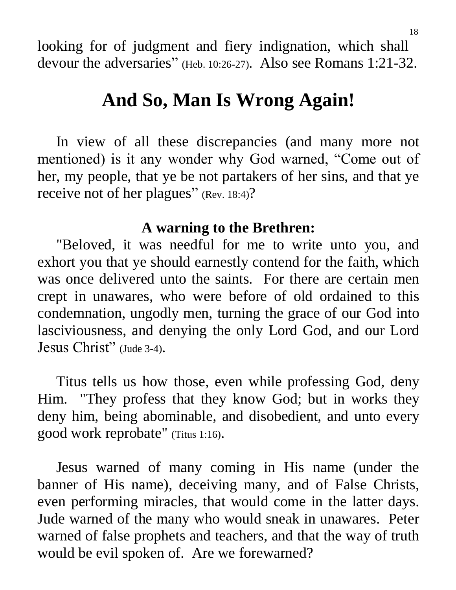looking for of judgment and fiery indignation, which shall devour the adversaries" (Heb. 10:26-27). Also see Romans 1:21-32.

# **And So, Man Is Wrong Again!**

 In view of all these discrepancies (and many more not mentioned) is it any wonder why God warned, "Come out of her, my people, that ye be not partakers of her sins, and that ye receive not of her plagues" (Rev. 18:4)?

#### **A warning to the Brethren:**

 "Beloved, it was needful for me to write unto you, and exhort you that ye should earnestly contend for the faith, which was once delivered unto the saints. For there are certain men crept in unawares, who were before of old ordained to this condemnation, ungodly men, turning the grace of our God into lasciviousness, and denying the only Lord God, and our Lord Jesus Christ" (Jude 3-4).

 Titus tells us how those, even while professing God, deny Him. "They profess that they know God; but in works they deny him, being abominable, and disobedient, and unto every good work reprobate" (Titus 1:16).

 Jesus warned of many coming in His name (under the banner of His name), deceiving many, and of False Christs, even performing miracles, that would come in the latter days. Jude warned of the many who would sneak in unawares. Peter warned of false prophets and teachers, and that the way of truth would be evil spoken of. Are we forewarned?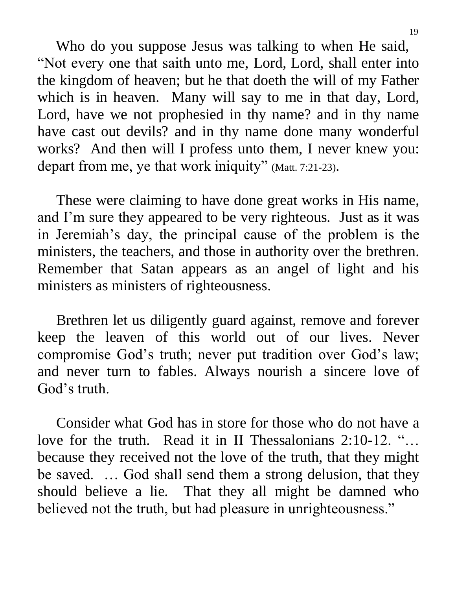Who do you suppose Jesus was talking to when He said, "Not every one that saith unto me, Lord, Lord, shall enter into the kingdom of heaven; but he that doeth the will of my Father which is in heaven. Many will say to me in that day, Lord, Lord, have we not prophesied in thy name? and in thy name have cast out devils? and in thy name done many wonderful works? And then will I profess unto them, I never knew you: depart from me, ye that work iniquity" (Matt. 7:21-23).

 These were claiming to have done great works in His name, and I'm sure they appeared to be very righteous. Just as it was in Jeremiah's day, the principal cause of the problem is the ministers, the teachers, and those in authority over the brethren. Remember that Satan appears as an angel of light and his ministers as ministers of righteousness.

 Brethren let us diligently guard against, remove and forever keep the leaven of this world out of our lives. Never compromise God's truth; never put tradition over God's law; and never turn to fables. Always nourish a sincere love of God's truth.

 Consider what God has in store for those who do not have a love for the truth. Read it in II Thessalonians 2:10-12. "… because they received not the love of the truth, that they might be saved. … God shall send them a strong delusion, that they should believe a lie. That they all might be damned who believed not the truth, but had pleasure in unrighteousness."